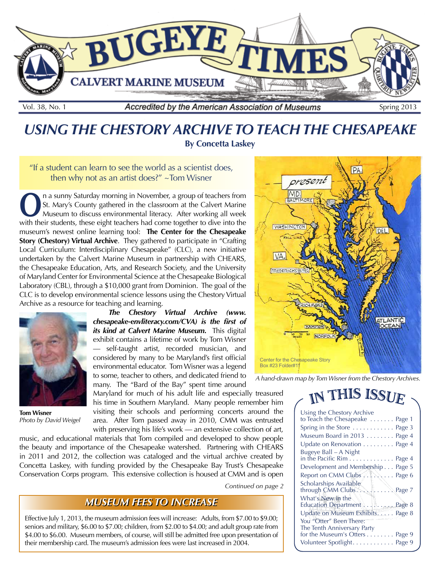

## *USING THE CHESTORY ARCHIVE TO TEACH THE CHESAPEAKE* **By Concetta Laskey**

"If a student can learn to see the world as a scientist does, then why not as an artist does?" ~Tom Wisner

**O**n a sunny Saturday morning in November, a group of teachers from St. Mary's County gathered in the classroom at the Calvert Marine Museum to discuss environmental literacy. After working all week St. Mary's County gathered in the classroom at the Calvert Marine with their students, these eight teachers had come together to dive into the museum's newest online learning tool: **The Center for the Chesapeake Story (Chestory) Virtual Archive**. They gathered to participate in "Crafting Local Curriculum: Interdisciplinary Chesapeake" (CLC), a new initiative undertaken by the Calvert Marine Museum in partnership with CHEARS, the Chesapeake Education, Arts, and Research Society, and the University of Maryland Center for Environmental Science at the Chesapeake Biological Laboratory (CBL), through a \$10,000 grant from Dominion. The goal of the CLC is to develop environmental science lessons using the Chestory Virtual Archive as a resource for teaching and learning.



**Tom Wisner**  *Photo by David Weigel*

*The Chestory Virtual Archive (www. chesapeake-envliteracy.com/CVA) is the first of its kind at Calvert Marine Museum.*This digital exhibit contains a lifetime of work by Tom Wisner self-taught artist, recorded musician, and considered by many to be Maryland's first official environmental educator. Tom Wisner was a legend to some, teacher to others, and dedicated friend to many. The "Bard of the Bay" spent time around

Maryland for much of his adult life and especially treasured his time in Southern Maryland. Many people remember him visiting their schools and performing concerts around the area. After Tom passed away in 2010, CMM was entrusted

with preserving his life's work — an extensive collection of art, music, and educational materials that Tom compiled and developed to show people the beauty and importance of the Chesapeake watershed. Partnering with CHEARS in 2011 and 2012, the collection was cataloged and the virtual archive created by Concetta Laskey, with funding provided by the Chesapeake Bay Trust's Chesapeake Conservation Corps program. This extensive collection is housed at CMM and is open

*Continued on page 2*

#### **MUSEUM FEES TO INCREASE**

Effective July 1, 2013, the museum admission fees will increase: Adults, from \$7.00 to \$9.00; seniors and military, \$6.00 to \$7.00; children, from \$2.00 to \$4.00; and adult group rate from \$4.00 to \$6.00. Museum members, of course, will still be admitted free upon presentation of their membership card. The museum's admission fees were last increased in 2004.



*A hand-drawn map by Tom Wisner from the Chestory Archives.*

# IN THIS ISSUE

| Using the Chestory Archive<br>to Teach the Chesapeake Page 1 |  |
|--------------------------------------------------------------|--|
| Spring in the Store  Page 3                                  |  |
| Museum Board in 2013 Page 4                                  |  |
| Update on Renovation Page 4                                  |  |
| Bugeye Ball - A Night                                        |  |
| in the Pacific Rim Page 4                                    |  |
| Development and Membership Page 5                            |  |
| Report on CMM Clubs /.  Page 6                               |  |
| Scholarships Available                                       |  |
| What's New in the                                            |  |
| Education Department   Page 8                                |  |
| Update on Museum Exhibits. Page 8                            |  |
| You "Otter" Been There:                                      |  |
| The Tenth Anniversary Party                                  |  |
| for the Museum's Otters Page 9                               |  |
| Volunteer Spotlight. Page 9                                  |  |
|                                                              |  |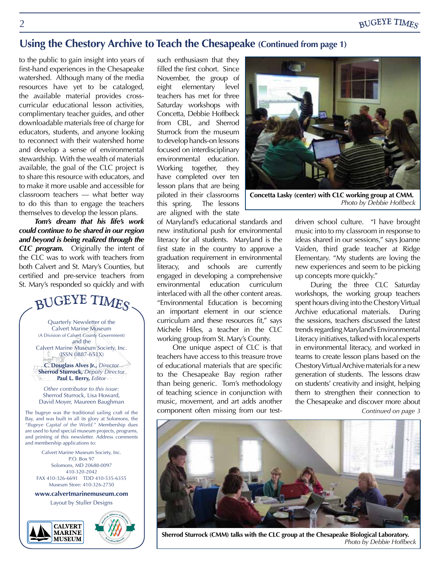#### **BUGEYE TIMES**

#### **Using the Chestory Archive to Teach the Chesapeake (Continued from page 1)**

to the public to gain insight into years of first-hand experiences in the Chesapeake watershed. Although many of the media resources have yet to be cataloged, the available material provides crosscurricular educational lesson activities, complimentary teacher guides, and other downloadable materials free of charge for educators, students, and anyone looking to reconnect with their watershed home and develop a sense of environmental stewardship. With the wealth of materials available, the goal of the CLC project is to share this resource with educators, and to make it more usable and accessible for classroom teachers — what better way to do this than to engage the teachers themselves to develop the lesson plans.

*Tom's dream that his life's work could continue to be shared in our region and beyond is being realized through the CLC program.* Originally the intent of the CLC was to work with teachers from both Calvert and St. Mary's Counties, but certified and pre-service teachers from St. Mary's responded so quickly and with

# BUGEYE TIMES

Quarterly Newsletter of the Calvert Marine Museum (A Division of Calvert County Government) and the Calvert Marine Museum Society, Inc.

(ISSN 0887-651X) **C. Douglass Alves Jr.,** *Director* **Sherrod Sturrock,** *Deputy Director*

**Paul L. Berry,** *Editor Other contributor to this issue:*

Sherrod Sturrock, Lisa Howard, David Moyer, Maureen Baughman

The bugeye was the traditional sailing craft of the Bay, and was built in all its glory at Solomons, the *"Bugeye Capital of the World."* Membership dues are used to fund special museum projects, programs, and printing of this newsletter. Address comments and membership applications to:

Calvert Marine Museum Society, Inc. P.O. Box 97 Solomons, MD 20688-0097 410-320-2042 FAX 410-326-6691 TDD 410-535-6355 Museum Store: 410-326-2750

**www.calvertmarinemuseum.com**

Layout by Stuller Designs





such enthusiasm that they filled the first cohort. Since November, the group of eight elementary level teachers has met for three Saturday workshops with Concetta, Debbie Hoffbeck from CBL, and Sherrod Sturrock from the museum to develop hands-on lessons focused on interdisciplinary environmental education. Working together, they have completed over ten lesson plans that are being piloted in their classrooms this spring. The lessons are aligned with the state

of Maryland's educational standards and new institutional push for environmental literacy for all students. Maryland is the first state in the country to approve a graduation requirement in environmental literacy, and schools are currently engaged in developing a comprehensive environmental education curriculum interlaced with all the other content areas. "Environmental Education is becoming an important element in our science curriculum and these resources fit," says Michele Hiles, a teacher in the CLC working group from St. Mary's County.

One unique aspect of CLC is that teachers have access to this treasure trove of educational materials that are specific to the Chesapeake Bay region rather than being generic. Tom's methodology of teaching science in conjunction with music, movement, and art adds another component often missing from our test-



**Concetta Lasky (center) with CLC working group at CMM.**  *Photo by Debbie Hoffbeck*

driven school culture. "I have brought music into to my classroom in response to ideas shared in our sessions," says Joanne Vaiden, third grade teacher at Ridge Elementary. "My students are loving the new experiences and seem to be picking up concepts more quickly."

During the three CLC Saturday workshops, the working group teachers spent hours diving into the Chestory Virtual Archive educational materials. During the sessions, teachers discussed the latest trends regarding Maryland's Environmental Literacy initiatives, talked with local experts in environmental literacy, and worked in teams to create lesson plans based on the Chestory Virtual Archive materials for a new generation of students. The lessons draw on students' creativity and insight, helping them to strengthen their connection to the Chesapeake and discover more about *Continued on page 3*



**Sherrod Sturrock (CMM) talks with the CLC group at the Chesapeake Biological Laboratory.** *Photo by Debbie Hoffbeck*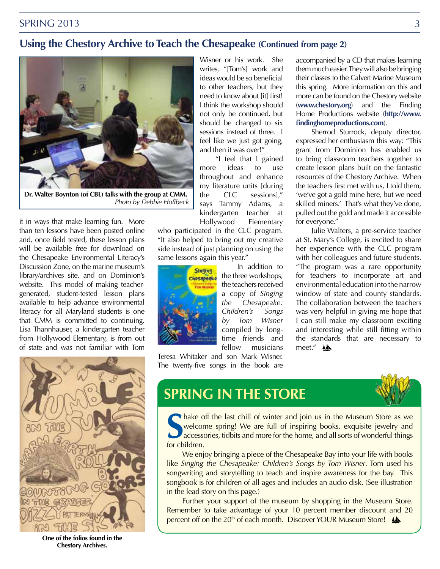#### **Using the Chestory Archive to Teach the Chesapeake (Continued from page 2)**



**Dr. Walter Boynton (of CBL) talks with the group at CMM.** *Photo by Debbie Hoffbeck*

it in ways that make learning fun. More than ten lessons have been posted online and, once field tested, these lesson plans will be available free for download on the Chesapeake Environmental Literacy's Discussion Zone, on the marine museum's library/archives site, and on Dominion's website. This model of making teachergenerated, student-tested lesson plans available to help advance environmental literacy for all Maryland students is one that CMM is committed to continuing. Lisa Thannhauser, a kindergarten teacher from Hollywood Elementary, is from out of state and was not familiar with Tom



**One of the folios found in the Chestory Archives.**

Wisner or his work. She writes, "[Tom's] work and ideas would be so beneficial to other teachers, but they need to know about [it] first! I think the workshop should not only be continued, but should be changed to six sessions instead of three. I feel like we just got going, and then it was over!"

"I feel that I gained more ideas to use throughout and enhance my literature units [during the CLC sessions]," says Tammy Adams, a kindergarten teacher at Hollywood Elementary

who participated in the CLC program. "It also helped to bring out my creative side instead of just planning on using the same lessons again this year."



In addition to the three workshops, the teachers received a copy of *Singing the Chesapeake: Children's Songs by Tom Wisner* compiled by longtime friends and fellow musicians

Teresa Whitaker and son Mark Wisner. The twenty-five songs in the book are accompanied by a CD that makes learning them much easier. They will also be bringing their classes to the Calvert Marine Museum this spring. More information on this and more can be found on the Chestory website (**www.chestory.org**) and the Finding Home Productions website (**http://www. findinghomeproductions.com**).

Sherrod Sturrock, deputy director, expressed her enthusiasm this way: "This grant from Dominion has enabled us to bring classroom teachers together to create lesson plans built on the fantastic resources of the Chestory Archive. When the teachers first met with us, I told them, 'we've got a gold mine here, but we need skilled miners.' That's what they've done, pulled out the gold and made it accessible for everyone."

Julie Walters, a pre-service teacher at St. Mary's College, is excited to share her experience with the CLC program with her colleagues and future students. "The program was a rare opportunity for teachers to incorporate art and environmental education into the narrow window of state and county standards. The collaboration between the teachers was very helpful in giving me hope that I can still make my classroom exciting and interesting while still fitting within the standards that are necessary to meet." A

# **SPRING IN THE STORE**

**S** for children. hake off the last chill of winter and join us in the Museum Store as we welcome spring! We are full of inspiring books, exquisite jewelry and accessories, tidbits and more for the home, and all sorts of wonderful things

We enjoy bringing a piece of the Chesapeake Bay into your life with books like *Singing the Chesapeake: Children's Songs by Tom Wisner*. Tom used his songwriting and storytelling to teach and inspire awareness for the bay. This songbook is for children of all ages and includes an audio disk. (See illustration in the lead story on this page.)

Further your support of the museum by shopping in the Museum Store. Remember to take advantage of your 10 percent member discount and 20 percent off on the 20<sup>th</sup> of each month. Discover YOUR Museum Store!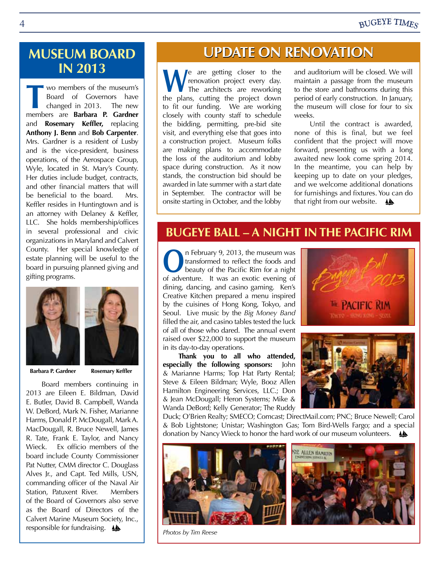## **MUSEUM BOARD IN 2013**

wo members of the museum's Board of Governors have changed in 2013. The new members are **Barbara P. Gardner**  and **Rosemary Keffler,** replacing **Anthony J. Benn** and **Bob Carpenter**. Mrs. Gardner is a resident of Lusby and is the vice-president, business operations, of the Aerospace Group, Wyle, located in St. Mary's County. Her duties include budget, contracts, and other financial matters that will be beneficial to the board. Mrs. Keffler resides in Huntingtown and is an attorney with Delaney & Keffler, LLC. She holds membership/offices in several professional and civic organizations in Maryland and Calvert County. Her special knowledge of estate planning will be useful to the board in pursuing planned giving and gifting programs.





**Barbara P. Gardner Rosemary Keffler**

Board members continuing in 2013 are Eileen E. Bildman, David E. Butler, David B. Campbell, Wanda W. DeBord, Mark N. Fisher, Marianne Harms, Donald P. McDougall, Mark A. MacDougall, R. Bruce Newell, James R. Tate, Frank E. Taylor, and Nancy Wieck. Ex officio members of the board include County Commissioner Pat Nutter, CMM director C. Douglass Alves Jr., and Capt. Ted Mills, USN, commanding officer of the Naval Air Station, Patuxent River. Members of the Board of Governors also serve as the Board of Directors of the Calvert Marine Museum Society, Inc., responsible for fundraising.  $\triangle$ 

# **UPDATE ON RE**

We are getting closer to the<br>The architects are reworking<br>the plane quiting the project down renovation project every day. The architects are reworking the plans, cutting the project down to fit our funding. We are working closely with county staff to schedule the bidding, permitting, pre-bid site visit, and everything else that goes into a construction project. Museum folks are making plans to accommodate the loss of the auditorium and lobby space during construction. As it now stands, the construction bid should be awarded in late summer with a start date in September. The contractor will be onsite starting in October, and the lobby

and auditorium will be closed. We will maintain a passage from the museum to the store and bathrooms during this period of early construction. In January, the museum will close for four to six weeks.

Until the contract is awarded, none of this is final, but we feel confident that the project will move forward, presenting us with a long awaited new look come spring 2014. In the meantime, you can help by keeping up to date on your pledges, and we welcome additional donations for furnishings and fixtures. You can do that right from our website.  $\triangle$ 

## **BUGEYE BALL – A NIGHT IN THE PACIFIC RIM**

**O**n February 9, 2013, the museum was<br>transformed to reflect the foods and<br>beauty of the Pacific Rim for a night transformed to reflect the foods and beauty of the Pacific Rim for a night of adventure. It was an exotic evening of dining, dancing, and casino gaming. Ken's Creative Kitchen prepared a menu inspired by the cuisines of Hong Kong, Tokyo, and Seoul. Live music by the *Big Money Band* filled the air, and casino tables tested the luck of all of those who dared. The annual event raised over \$22,000 to support the museum in its day-to-day operations.

**Thank you to all who attended, especially the following sponsors:** John & Marianne Harms; Top Hat Party Rental; Steve & Eileen Bildman; Wyle, Booz Allen Hamilton Engineering Services, LLC.; Don & Jean McDougall; Heron Systems; Mike & Wanda DeBord; Kelly Generator; The Ruddy





Duck; O'Brien Realty; SMECO; Comcast; DirectMail.com; PNC; Bruce Newell; Carol & Bob Lightstone; Unistar; Washington Gas; Tom Bird-Wells Fargo; and a special donation by Nancy Wieck to honor the hard work of our museum volunteers.



*Photos by Tim Reese*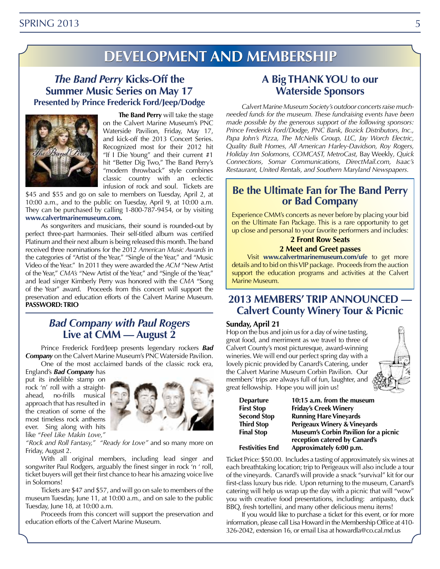# **Development evelopmentand and Membership embership**

#### *The Band Perry* **Kicks-Off the Summer Music Series on May 17 Presented by Prince Frederick Ford/Jeep/Dodge**



**The Band Perry** will take the stage on the Calvert Marine Museum's PNC Waterside Pavilion, Friday, May 17, and kick-off the 2013 Concert Series. Recognized most for their 2012 hit "If I Die Young" and their current #1 hit "Better Dig Two," The Band Perry's "modern throwback" style combines classic country with an eclectic infusion of rock and soul. Tickets are

\$45 and \$55 and go on sale to members on Tuesday, April 2, at 10:00 a.m., and to the public on Tuesday, April 9, at 10:00 a.m. They can be purchased by calling 1-800-787-9454, or by visiting **www.calvertmarinemuseum.com.** 

As songwriters and musicians, their sound is rounded-out by perfect three-part harmonies. Their self-titled album was certified Platinum and their next album is being released this month.The band received three nominations for the 2012 *American Music Awards* in the categories of "Artist of the Year," "Single of the Year," and "Music Video of the Year." In 2011 they were awarded the *ACM* "New Artist of the Year," *CMA's* "New Artist of the Year," and "Single of the Year," and lead singer Kimberly Perry was honored with the *CMA* "Song of the Year" award. Proceeds from this concert will support the preservation and education efforts of the Calvert Marine Museum. **PASSWORD: TRIO**

#### *Bad Company with Paul Rogers* **Live at CMM — August 2**

Prince Frederick Ford/Jeep presents legendary rockers *Bad Company* on the Calvert Marine Museum's PNC Waterside Pavilion.

One of the most acclaimed bands of the classic rock era, England's *Bad Company* has put its indelible stamp on rock 'n' roll with a straight-<br>ahead. no-frills musical no-frills musical approach that has resulted in the creation of some of the most timeless rock anthems ever. Sing along with hits like "*Feel Like Makin Love,"* 



*"Rock and Roll Fantasy," "Ready for Love"* and so many more on Friday, August 2.

With all original members, including lead singer and songwriter Paul Rodgers, arguably the finest singer in rock 'n ' roll, ticket buyers will get their first chance to hear his amazing voice live in Solomons!

Tickets are \$47 and \$57, and will go on sale to members of the museum Tuesday, June 11, at 10:00 a.m., and on sale to the public Tuesday, June 18, at 10:00 a.m.

Proceeds from this concert will support the preservation and education efforts of the Calvert Marine Museum.

#### **A Big THANK YOU to our Waterside Sponsors**

*Calvert Marine Museum Society's outdoor concerts raise muchneeded funds for the museum. These fundraising events have been made possible by the generous support of the following sponsors: Prince Frederick Ford/Dodge, PNC Bank, Bozick Distributors, Inc., Papa John's Pizza, The McNelis Group, LLC, Jay Worch Electric, Quality Built Homes, All American Harley-Davidson, Roy Rogers, Holiday Inn Solomons, COMCAST, MetroCast,* Bay Weekly*, Quick Connections, Somar Communications, DirectMail.com, Isaac's Restaurant, United Rentals, and Southern Maryland Newspapers.*

# **Be the Ultimate Fan for The Band Perry or Bad Company**

Experience CMM's concerts as never before by placing your bid on the Ultimate Fan Package. This is a rare opportunity to get up close and personal to your favorite performers and includes:

#### **2 Front Row Seats**

**2 Meet and Greet passes**

Visit **www.calvertmarinemuseum.com/ufe** to get more details and to bid on this VIP package. Proceeds from the auction support the education programs and activities at the Calvert Marine Museum.

#### **2013 MEMBERS' TRIP ANNOUNCED — Calvert County Winery Tour & Picnic**

#### **Sunday, April 21**

Hop on the bus and join us for a day of wine tasting, great food, and merriment as we travel to three of Calvert County's most picturesque, award-winning wineries. We will end our perfect spring day with a lovely picnic provided by Canard's Catering, under the Calvert Marine Museum Corbin Pavilion. Our members' trips are always full of fun, laughter, and great fellowship. Hope you will join us!



| Departure          | 1 |
|--------------------|---|
| <b>First Stop</b>  | F |
| <b>Second Stop</b> | F |
| <b>Third Stop</b>  | P |
| <b>Final Stop</b>  | ۸ |
|                    | r |

0:15 a.m. from the museum **First Stop Friday's Creek Winery Second Stop Running Hare Vineyards Third Stop Perigeaux Winery & Vineyards Final Stop Museum's Corbin Pavilion for a picnic reception catered by Canard's Festivities End Approximately 6:00 p.m.**

Ticket Price: \$50.00. Includes a tasting of approximately six wines at each breathtaking location; trip to Perigeaux will also include a tour of the vineyards. Canard's will provide a snack "survival" kit for our first-class luxury bus ride. Upon returning to the museum, Canard's catering will help us wrap up the day with a picnic that will "wow" you with creative food presentations, including: antipasto, duck BBQ, fresh tortellini, and many other delicious menu items!

If you would like to purchase a ticket for this event, or for more information, please call Lisa Howard in the Membership Office at 410- 326-2042, extension 16, or email Lisa at howardla@co.cal.md.us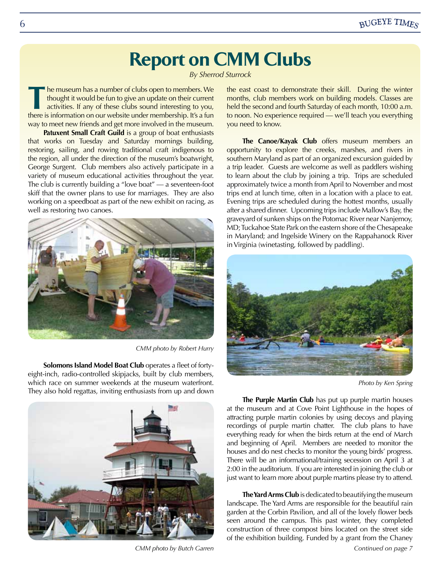# **Report on CMM Clubs**

*By Sherrod Sturrock*

The museum has a number of clubs open to members. We thought it would be fun to give an update on their current activities. If any of these clubs sound interesting to you, there is information on our website under membersh thought it would be fun to give an update on their current there is information on our website under membership. It's a fun way to meet new friends and get more involved in the museum.

**Patuxent Small Craft Guild** is a group of boat enthusiasts that works on Tuesday and Saturday mornings building, restoring, sailing, and rowing traditional craft indigenous to the region, all under the direction of the museum's boatwright, George Surgent. Club members also actively participate in a variety of museum educational activities throughout the year. The club is currently building a "love boat" — a seventeen-foot skiff that the owner plans to use for marriages. They are also working on a speedboat as part of the new exhibit on racing, as well as restoring two canoes.



*CMM photo by Robert Hurry*

**Solomons Island Model Boat Club** operates a fleet of fortyeight-inch, radio-controlled skipjacks, built by club members, which race on summer weekends at the museum waterfront. They also hold regattas, inviting enthusiasts from up and down



*CMM photo by Butch Garren Continued on page 7*

the east coast to demonstrate their skill. During the winter months, club members work on building models. Classes are held the second and fourth Saturday of each month, 10:00 a.m. to noon. No experience required — we'll teach you everything you need to know.

**The Canoe/Kayak Club** offers museum members an opportunity to explore the creeks, marshes, and rivers in southern Maryland as part of an organized excursion guided by a trip leader. Guests are welcome as well as paddlers wishing to learn about the club by joining a trip. Trips are scheduled approximately twice a month from April to November and most trips end at lunch time, often in a location with a place to eat. Evening trips are scheduled during the hottest months, usually after a shared dinner. Upcoming trips include Mallow's Bay, the graveyard of sunken ships on the Potomac River near Nanjemoy, MD; Tuckahoe State Park on the eastern shore of the Chesapeake in Maryland; and Ingelside Winery on the Rappahanock River in Virginia (winetasting, followed by paddling).



*Photo by Ken Spring*

**The Purple Martin Club** has put up purple martin houses at the museum and at Cove Point Lighthouse in the hopes of attracting purple martin colonies by using decoys and playing recordings of purple martin chatter. The club plans to have everything ready for when the birds return at the end of March and beginning of April. Members are needed to monitor the houses and do nest checks to monitor the young birds' progress. There will be an informational/training secession on April 3 at 2:00 in the auditorium. If you are interested in joining the club or just want to learn more about purple martins please try to attend.

**The Yard ArmsClub** is dedicated to beautifying the museum landscape. The Yard Arms are responsible for the beautiful rain garden at the Corbin Pavilion, and all of the lovely flower beds seen around the campus. This past winter, they completed construction of three compost bins located on the street side of the exhibition building. Funded by a grant from the Chaney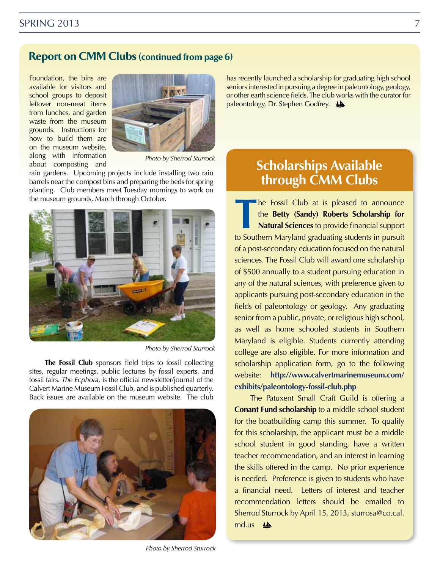#### SPRING 2013 7

#### **Report on CMM Clubs (continued from page 6)**

Foundation, the bins are available for visitors and school groups to deposit leftover non-meat items from lunches, and garden waste from the museum grounds. Instructions for how to build them are on the museum website, along with information about composting and



*Photo by Sherrod Sturrock*

rain gardens. Upcoming projects include installing two rain barrels near the compost bins and preparing the beds for spring planting. Club members meet Tuesday mornings to work on the museum grounds, March through October.



*Photo by Sherrod Sturrock*

**The Fossil Club** sponsors field trips to fossil collecting sites, regular meetings, public lectures by fossil experts, and fossil fairs. *The Ecphora,* is the official newsletter/journal of the Calvert Marine Museum Fossil Club, and is published quarterly. Back issues are available on the museum website. The club



*Photo by Sherrod Sturrock*

has recently launched a scholarship for graduating high school seniors interested in pursuing a degree in paleontology, geology, or other earth science fields. The club works with the curator for paleontology, Dr. Stephen Godfrey.

# **Scholarships Available through CMM Clubs**

The Fossil Club at is pleased to announce<br>the **Betty (Sandy) Roberts Scholarship for<br>Natural Sciences** to provide financial support<br>to Southern Mandand graduating students in pursuit the **Betty (Sandy) Roberts Scholarship for Natural Sciences** to provide financial support to Southern Maryland graduating students in pursuit of a post-secondary education focused on the natural sciences. The Fossil Club will award one scholarship of \$500 annually to a student pursuing education in any of the natural sciences, with preference given to applicants pursuing post-secondary education in the fields of paleontology or geology. Any graduating senior from a public, private, or religious high school, as well as home schooled students in Southern Maryland is eligible. Students currently attending college are also eligible. For more information and scholarship application form, go to the following website: **http://www.calvertmarinemuseum.com/ exhibits/paleontology-fossil-club.php**

The Patuxent Small Craft Guild is offering a **Conant Fund scholarship** to a middle school student for the boatbuilding camp this summer. To qualify for this scholarship, the applicant must be a middle school student in good standing, have a written teacher recommendation, and an interest in learning the skills offered in the camp. No prior experience is needed. Preference is given to students who have a financial need. Letters of interest and teacher recommendation letters should be emailed to Sherrod Sturrock by April 15, 2013, sturrosa@co.cal. md.us **A**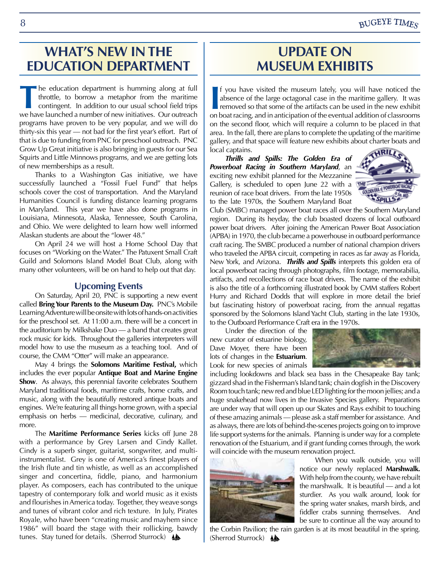## **WHAT'S NEW IN THE EDUCATION DEPARTMENT**

The education department is humming along at full throttle, to borrow a metaphor from the maritime contingent. In addition to our usual school field trips we have launched a number of new initiatives. Our outreach throttle, to borrow a metaphor from the maritime we have launched a number of new initiatives. Our outreach programs have proven to be very popular, and we will do thirty-six this year — not bad for the first year's effort. Part of that is due to funding from PNC for preschool outreach. PNC Grow Up Great initiative is also bringing in guests for our Sea Squirts and Little Minnows programs, and we are getting lots of new memberships as a result.

Thanks to a Washington Gas initiative, we have successfully launched a "Fossil Fuel Fund" that helps schools cover the cost of transportation. And the Maryland Humanities Council is funding distance learning programs in Maryland. This year we have also done programs in Louisiana, Minnesota, Alaska, Tennessee, South Carolina, and Ohio. We were delighted to learn how well informed Alaskan students are about the "lower 48."

On April 24 we will host a Home School Day that focuses on "Working on the Water." The Patuxent Small Craft Guild and Solomons Island Model Boat Club, along with many other volunteers, will be on hand to help out that day.

#### **Upcoming Events**

On Saturday, April 20, PNC is supporting a new event called **Bring Your Parents to the Museum Day.** PNC's Mobile Learning Adventure will be onsite with lots of hands-on activities for the preschool set. At 11:00 a.m. there will be a concert in the auditorium by Milkshake Duo — a band that creates great rock music for kids. Throughout the galleries interpreters will model how to use the museum as a teaching tool. And of course, the CMM "Otter" will make an appearance.

May 4 brings the **Solomons Maritime Festival,** which includes the ever popular **Antique Boat and Marine Engine Show**. As always, this perennial favorite celebrates Southern Maryland traditional foods, maritime crafts, home crafts, and music, along with the beautifully restored antique boats and engines. We're featuring all things home grown, with a special emphasis on herbs — medicinal, decorative, culinary, and more.

The **Maritime Performance Series** kicks off June 28 with a performance by Grey Larsen and Cindy Kallet. Cindy is a superb singer, guitarist, songwriter, and multiinstrumentalist. Grey is one of America's finest players of the Irish flute and tin whistle, as well as an accomplished singer and concertina, fiddle, piano, and harmonium player. As composers, each has contributed to the unique tapestry of contemporary folk and world music as it exists and flourishes in America today. Together, they weave songs and tunes of vibrant color and rich texture. In July, Pirates Royale, who have been "creating music and mayhem since 1986" will board the stage with their rollicking, bawdy tunes. Stay tuned for details. (Sherrod Sturrock)

# **Update on Museum Exhibits**

**I** f you have visited the museum lately, you will have noticed the absence of the large octagonal case in the maritime gallery. It was removed so that some of the artifacts can be used in the new exhibit on boat racing, a f you have visited the museum lately, you will have noticed the absence of the large octagonal case in the maritime gallery. It was removed so that some of the artifacts can be used in the new exhibit on the second floor, which will require a column to be placed in that area. In the fall, there are plans to complete the updating of the maritime gallery, and that space will feature new exhibits about charter boats and local captains.

*Thrills and Spills: The Golden Era of Powerboat Racing in Southern Maryland*, an exciting new exhibit planned for the Mezzanine Gallery, is scheduled to open June 22 with a  $\Pi$ reunion of race boat drivers. From the late 1950s to the late 1970s, the Southern Maryland Boat



Club (SMBC) managed power boat races all over the Southern Maryland region. During its heyday, the club boasted dozens of local outboard power boat drivers. After joining the American Power Boat Association (APBA) in 1970, the club became a powerhouse in outboard performance craft racing. The SMBC produced a number of national champion drivers who traveled the APBA circuit, competing in races as far away as Florida, New York, and Arizona. *Thrills and Spills* interprets this golden era of local powerboat racing through photographs, film footage, memorabilia, artifacts, and recollections of race boat drivers. The name of the exhibit is also the title of a forthcoming illustrated book by CMM staffers Robert Hurry and Richard Dodds that will explore in more detail the brief but fascinating history of powerboat racing, from the annual regattas sponsored by the Solomons Island Yacht Club, starting in the late 1930s, to the Outboard Performance Craft era in the 1970s.

Under the direction of the new curator of estuarine biology, Dave Moyer, there have been lots of changes in the **Estuarium**. Look for new species of animals



including lookdowns and black sea bass in the Chesapeake Bay tank; gizzard shad in the Fisherman's Island tank; chain dogfish in the Discovery Room touch tank; new red and blue LED lighting for the moon jellies; and a huge snakehead now lives in the Invasive Species gallery. Preparations are under way that will open up our Skates and Rays exhibit to touching of these amazing animals — please ask a staff member for assistance. And as always, there are lots of behind-the-scenes projects going on to improve life support systems for the animals. Planning is under way for a complete renovation of the Estuarium, and if grant funding comes through, the work will coincide with the museum renovation project.



When you walk outside, you will notice our newly replaced **Marshwalk.**  With help from the county, we have rebuilt the marshwalk. It is beautiful — and a lot sturdier. As you walk around, look for the spring water snakes, marsh birds, and fiddler crabs sunning themselves. And be sure to continue all the way around to

the Corbin Pavilion; the rain garden is at its most beautiful in the spring. (Sherrod Sturrock) <a>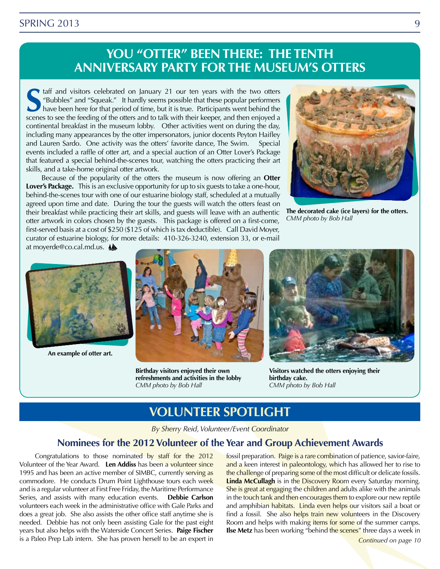#### SPRING 2013 9

# **YOU "OTTER" BEEN THERE: THE TENTH ANNIVERSARY PARTY FOR THE MUSEUM'S OTTERS**

**S**scenes to see the feeding of the otters and to talk with their keeper, and then enjoyed a scenes to see the feeding of the otters and to talk with their keeper, and then enjoyed a taff and visitors celebrated on January 21 our ten years with the two otters "Bubbles" and "Squeak." It hardly seems possible that these popular performers have been here for that period of time, but it is true. Participants went behind the continental breakfast in the museum lobby. Other activities went on during the day, including many appearances by the otter impersonators, junior docents Peyton Haifley and Lauren Sardo. One activity was the otters' favorite dance, The Swim. Special events included a raffle of otter art, and a special auction of an Otter Lover's Package that featured a special behind-the-scenes tour, watching the otters practicing their art skills, and a take-home original otter artwork.

Because of the popularity of the otters the museum is now offering an **Otter Lover's Package.** This is an exclusive opportunity for up to six guests to take a one-hour, behind-the-scenes tour with one of our estuarine biology staff, scheduled at a mutually agreed upon time and date. During the tour the guests will watch the otters feast on their breakfast while practicing their art skills, and guests will leave with an authentic otter artwork in colors chosen by the guests. This package is offered on a first-come, first-served basis at a cost of \$250 (\$125 of which is tax deductible). Call David Moyer, curator of estuarine biology, for more details: 410-326-3240, extension 33, or e-mail at moyerde@co.cal.md.us. A



**The decorated cake (ice layers) for the otters.** *CMM photo by Bob Hall*



**An example of otter art.**



**Birthday visitors enjoyed their own refreshments and activities in the lobby** *CMM photo by Bob Hall*



**Visitors watched the otters enjoying their birthday cake.** *CMM photo by Bob Hall*

## **Volunteer Spotlight**

*By Sherry Reid, Volunteer/Event Coordinator*

#### **Nominees for the 2012 Volunteer of the Year and Group Achievement Awards**

Congratulations to those nominated by staff for the 2012 Volunteer of the Year Award. **Len Addiss** has been a volunteer since 1995 and has been an active member of SIMBC, currently serving as commodore. He conducts Drum Point Lighthouse tours each week and is a regular volunteer at First Free Friday, the Maritime Performance Series, and assists with many education events. **Debbie Carlson** volunteers each week in the administrative office with Gale Parks and does a great job. She also assists the other office staff anytime she is needed. Debbie has not only been assisting Gale for the past eight years but also helps with the Waterside Concert Series. **Paige Fischer** is a Paleo Prep Lab intern. She has proven herself to be an expert in

fossil preparation. Paige is a rare combination of patience, savior-faire, and a keen interest in paleontology, which has allowed her to rise to the challenge of preparing some of the most difficult or delicate fossils. **Linda McCullagh** is in the Discovery Room every Saturday morning. She is great at engaging the children and adults alike with the animals in the touch tank and then encourages them to explore our new reptile and amphibian habitats. Linda even helps our visitors sail a boat or find a fossil. She also helps train new volunteers in the Discovery Room and helps with making items for some of the summer camps. **Ilse Metz** has been working "behind the scenes" three days a week in

*Continued on page 10*